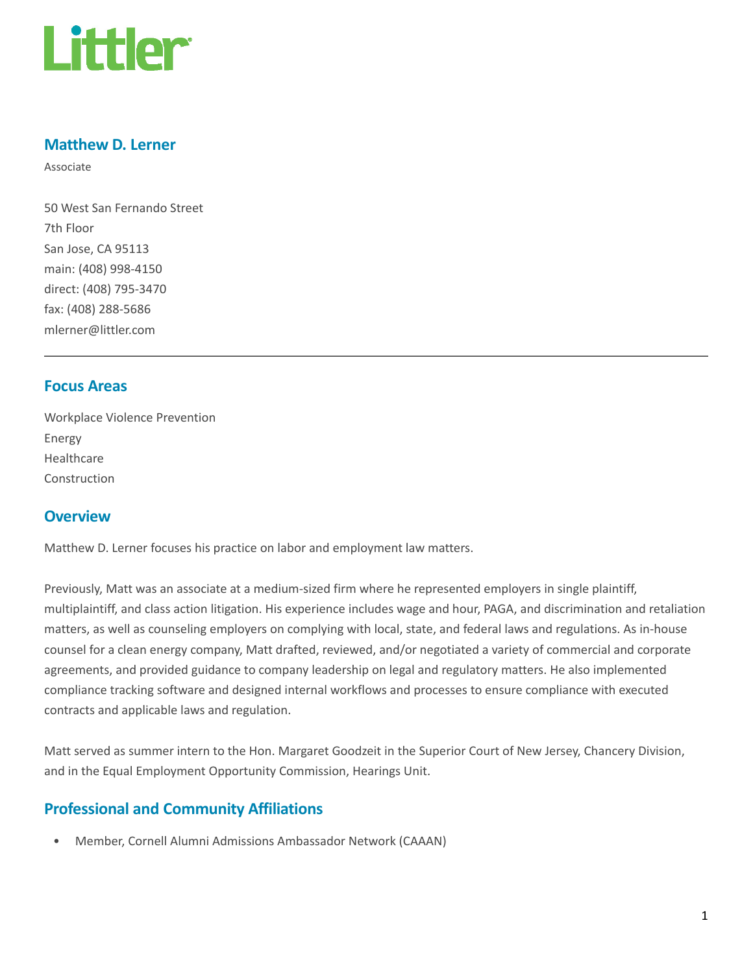

### Matthew D. Lerner

Associate

50 West San Fernando Street 7th Floor San Jose, CA 95113 main: (408) 998-4150 direct: (408) 795-3470 fax: (408) 288-5686 mlerner@littler.com

#### Focus Areas

Workplace Violence Prevention Energy Healthcare Construction

### **Overview**

Matthew D. Lerner focuses his practice on labor and employment law matters.

Previously, Matt was an associate at a medium-sized firm where he represented employers in single plaintiff, multiplaintiff, and class action litigation. His experience includes wage and hour, PAGA, and discrimination and retaliation matters, as well as counseling employers on complying with local, state, and federal laws and regulations. As in-house counsel for a clean energy company, Matt drafted, reviewed, and/or negotiated a variety of commercial and corporate agreements, and provided guidance to company leadership on legal and regulatory matters. He also implemented compliance tracking software and designed internal workflows and processes to ensure compliance with executed contracts and applicable laws and regulation.

Matt served as summer intern to the Hon. Margaret Goodzeit in the Superior Court of New Jersey, Chancery Division, and in the Equal Employment Opportunity Commission, Hearings Unit.

## Professional and Community Affiliations

• Member, Cornell Alumni Admissions Ambassador Network (CAAAN)